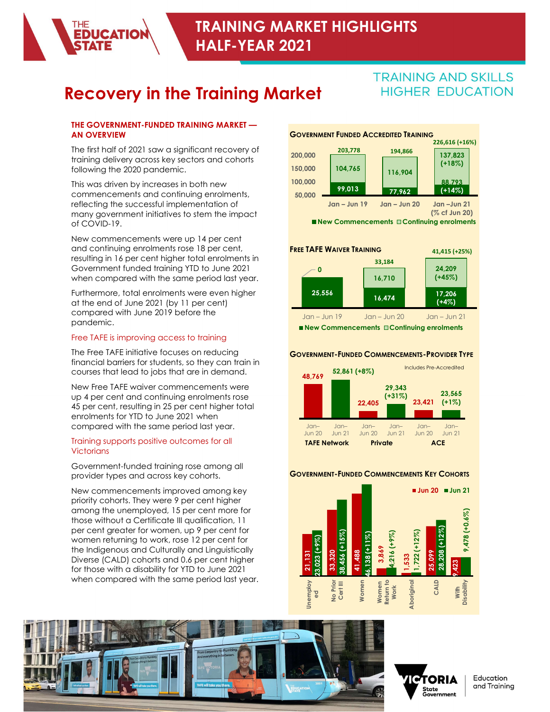# Recovery in the Training Market HIGHER EDUCATION

#### THE GOVERNMENT-FUNDED TRAINING MARKET — AN OVERVIEW

**EDUCATION** 

The first half of 2021 saw a significant recovery of 200,000 203,778 training delivery across key sectors and cohorts following the 2020 pandemic.

This was driven by increases in both new **100,000** commencements and continuing enrolments, reflecting the successful implementation of many government initiatives to stem the impact of COVID-19.

New commencements were up 14 per cent and continuing enrolments rose 18 per cent, resulting in 16 per cent higher total enrolments in Government funded training YTD to June 2021 when compared with the same period last year.

Furthermore, total enrolments were even higher **1999 125,556** at the end of June 2021 (by 11 per cent) compared with June 2019 before the pandemic.

### Free TAFE is improving access to training

The Free TAFE initiative focuses on reducing financial barriers for students, so they can train in courses that lead to jobs that are in demand.

New Free TAFE waiver commencements were up 4 per cent and continuing enrolments rose 45 per cent, resulting in 25 per cent higher total enrolments for YTD to June 2021 when compared with the same period last year.

#### Training supports positive outcomes for all **Victorians**

Government-funded training rose among all<br>provider types and across key cohorts **COVERNMENT-FUNDED COMMENCEMENTS KEY COHORTS** provider types and across key cohorts.

New commencements improved among key priority cohorts. They were 9 per cent higher among the unemployed, 15 per cent more for those without a Certificate III qualification, 11 per cent greater for women, up 9 per cent for women returning to work, rose 12 per cent for the Indigenous and Culturally and Linguistically Diverse (CALD) cohorts and 0.6 per cent higher for those with a disability for YTD to June 2021 when compared with the same period last year.<br>
a part of the same period last year.<br>
20



■New Commencements □ Continuing enrolments



New Commencements **Continuing enrolments** 

#### GOVERNMENT-FUNDED COMMENCEMENTS-PROVIDER TYPE







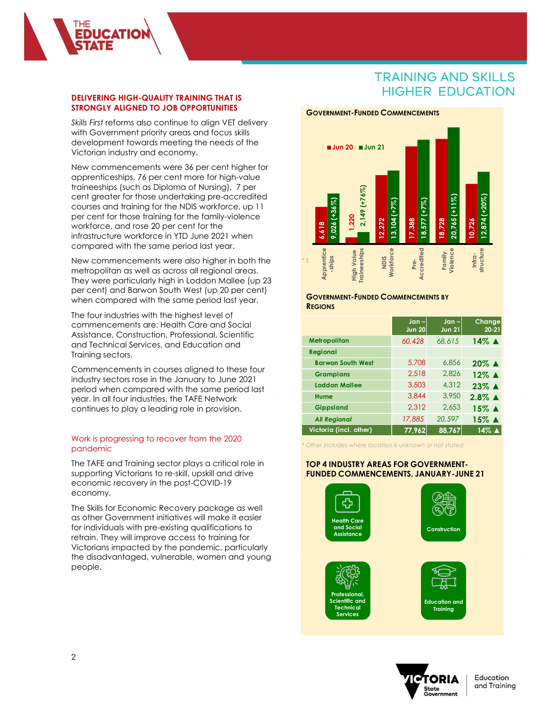

**ICATIO** 

Skills First reforms also continue to align VET delivery with Government priority areas and focus skills development towards meeting the needs of the Victorian industry and economy.

New commencements were 36 per cent higher for apprenticeships, 76 per cent more for high-value traineeships (such as Diploma of Nursing), 7 per cent greater for those undertaking pre-accredited courses and training for the NDIS workforce, up 11 per cent for those training for the family-violence workforce, and rose 20 per cent for the infrastructure workforce in YTD June 2021 when compared with the same period last year.

New commencements were also higher in both the<br>metropolitan as well as across all regional areas. metropolitan as well as across all regional areas. They were particularly high in Loddon Mallee (up 23 per cent) and Barwon South West (up 20 per cent) when compared with the same period last year.

The four industries with the highest level of commencements are: Health Care and Social Assistance, Construction, Professional, Scientific and Technical Services, and Education and Training sectors.

Commencements in courses aligned to these four industry sectors rose in the January to June 2021 period when compared with the same period last year. In all four industries, the TAFE Network continues to play a leading role in provision.

#### Work is progressing to recover from the 2020 pandemic

The TAFE and Training sector plays a critical role in supporting Victorians to re-skill, upskill and drive economic recovery in the post-COVID-19 economy.

The Skills for Economic Recovery package as well as other Government initiatives will make it easier for individuals with pre-existing qualifications to retrain. They will improve access to training for Victorians impacted by the pandemic, particularly the disadvantaged, vulnerable, women and young people.

#### GOVERNMENT-FUNDED COMMENCEMENTS



#### GOVERNMENT-FUNDED COMMENCEMENTS BY **REGIONS**

|                                                                                             | 9,026 (+36%)                                                | $(1 + 76)$<br>2,149<br>1,220             | $13,104$ (+7%)<br>12,272 | $18,577 (+7%)$<br>17,388                                | 20,765 (+11%)<br>18,728  | $12,874 (+20%)$<br>10,726    |
|---------------------------------------------------------------------------------------------|-------------------------------------------------------------|------------------------------------------|--------------------------|---------------------------------------------------------|--------------------------|------------------------------|
| $\overline{\mathcal{S}}$                                                                    | 6,618<br>Apprentice<br>-ships                               | <b>Traineeships</b><br><b>High Value</b> | Workforce<br><b>SIGN</b> | Accredited<br>Pre-                                      | Violence<br>Family       | structure<br>Infra-          |
|                                                                                             | <b>GOVERNMENT-FUNDED COMMENCEMENTS BY</b><br><b>REGIONS</b> |                                          |                          |                                                         |                          |                              |
|                                                                                             |                                                             |                                          |                          | $Jan -$<br><b>Jun 20</b>                                | $Jan -$<br><b>Jun 21</b> | Change<br>$20 - 21$          |
|                                                                                             | Metropolitan                                                |                                          |                          | 60,428                                                  | 68,615                   | $14\%$ $\triangle$           |
|                                                                                             | Regional                                                    | <b>Barwon South West</b>                 |                          | 5,708                                                   | 6,856                    | 20% ▲                        |
|                                                                                             | <b>Grampians</b>                                            |                                          |                          | 2,518                                                   | 2,826                    | 12% ▲                        |
|                                                                                             | <b>Loddon Mallee</b>                                        |                                          |                          | 3,503                                                   | 4,312                    | 23% ▲                        |
|                                                                                             | Hume<br><b>Gippsland</b>                                    |                                          |                          | 3,844<br>2,312                                          | 3,950<br>2,653           | $2.8\%$ $\triangle$<br>15% ▲ |
|                                                                                             | <b>All Regional</b>                                         |                                          |                          | 17,885                                                  | 20,597                   | 15% ▲                        |
|                                                                                             | Victoria (incl. other)                                      |                                          |                          | 77,962                                                  | 88,767                   | 14% ▲                        |
|                                                                                             |                                                             |                                          |                          | Other includes where location is unknown or not stated. |                          |                              |
| <b>TOP 4 INDUSTRY AREAS FOR GOVERNMENT-</b><br><b>FUNDED COMMENCEMENTS, JANUARY-JUNE 21</b> |                                                             |                                          |                          |                                                         |                          |                              |
|                                                                                             |                                                             |                                          |                          |                                                         |                          |                              |

### TOP 4 INDUSTRY AREAS FOR GOVERNMENT- FUNDED COMMENCEMENTS, JANUARY-JUNE 21